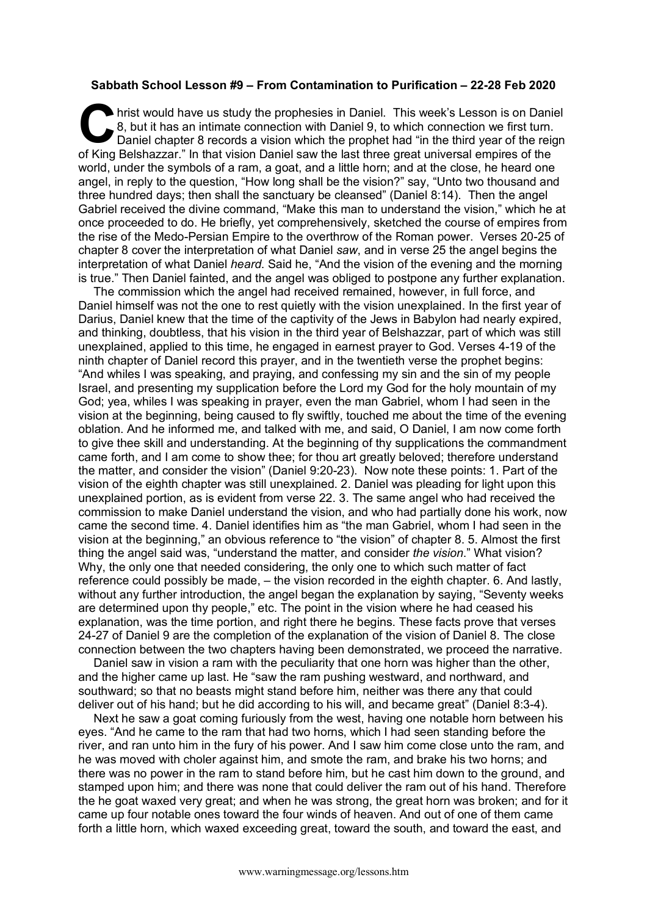## **Sabbath School Lesson #9 – From Contamination to Purification – 22-28 Feb 2020**

hrist would have us study the prophesies in Daniel. This week's Lesson is on Daniel 8, but it has an intimate connection with Daniel 9, to which connection we first turn. Daniel chapter 8 records a vision which the prophet had "in the third year of the reign of King Belshazzar." In that vision Daniel saw the last three great universal empires of the world, under the symbols of a ram, a goat, and a little horn; and at the close, he heard one angel, in reply to the question, "How long shall be the vision?" say, "Unto two thousand and three hundred days; then shall the sanctuary be cleansed" (Daniel 8:14). Then the angel Gabriel received the divine command, "Make this man to understand the vision," which he at once proceeded to do. He briefly, yet comprehensively, sketched the course of empires from the rise of the Medo-Persian Empire to the overthrow of the Roman power. Verses 20-25 of chapter 8 cover the interpretation of what Daniel *saw*, and in verse 25 the angel begins the interpretation of what Daniel *heard*. Said he, "And the vision of the evening and the morning is true." Then Daniel fainted, and the angel was obliged to postpone any further explanation.  $\begin{array}{c} \bigcap_{\text{hri}} \\ 8, \\ \text{Da} \end{array}$ 

The commission which the angel had received remained, however, in full force, and Daniel himself was not the one to rest quietly with the vision unexplained. In the first year of Darius, Daniel knew that the time of the captivity of the Jews in Babylon had nearly expired, and thinking, doubtless, that his vision in the third year of Belshazzar, part of which was still unexplained, applied to this time, he engaged in earnest prayer to God. Verses 4-19 of the ninth chapter of Daniel record this prayer, and in the twentieth verse the prophet begins: "And whiles I was speaking, and praying, and confessing my sin and the sin of my people Israel, and presenting my supplication before the Lord my God for the holy mountain of my God; yea, whiles I was speaking in prayer, even the man Gabriel, whom I had seen in the vision at the beginning, being caused to fly swiftly, touched me about the time of the evening oblation. And he informed me, and talked with me, and said, O Daniel, I am now come forth to give thee skill and understanding. At the beginning of thy supplications the commandment came forth, and I am come to show thee; for thou art greatly beloved; therefore understand the matter, and consider the vision" (Daniel 9:20-23). Now note these points: 1. Part of the vision of the eighth chapter was still unexplained. 2. Daniel was pleading for light upon this unexplained portion, as is evident from verse 22. 3. The same angel who had received the commission to make Daniel understand the vision, and who had partially done his work, now came the second time. 4. Daniel identifies him as "the man Gabriel, whom I had seen in the vision at the beginning," an obvious reference to "the vision" of chapter 8. 5. Almost the first thing the angel said was, "understand the matter, and consider *the vision*." What vision? Why, the only one that needed considering, the only one to which such matter of fact reference could possibly be made, – the vision recorded in the eighth chapter. 6. And lastly, without any further introduction, the angel began the explanation by saying, "Seventy weeks are determined upon thy people," etc. The point in the vision where he had ceased his explanation, was the time portion, and right there he begins. These facts prove that verses 24-27 of Daniel 9 are the completion of the explanation of the vision of Daniel 8. The close connection between the two chapters having been demonstrated, we proceed the narrative.

Daniel saw in vision a ram with the peculiarity that one horn was higher than the other, and the higher came up last. He "saw the ram pushing westward, and northward, and southward; so that no beasts might stand before him, neither was there any that could deliver out of his hand; but he did according to his will, and became great" (Daniel 8:3-4).

Next he saw a goat coming furiously from the west, having one notable horn between his eyes. "And he came to the ram that had two horns, which I had seen standing before the river, and ran unto him in the fury of his power. And I saw him come close unto the ram, and he was moved with choler against him, and smote the ram, and brake his two horns; and there was no power in the ram to stand before him, but he cast him down to the ground, and stamped upon him; and there was none that could deliver the ram out of his hand. Therefore the he goat waxed very great; and when he was strong, the great horn was broken; and for it came up four notable ones toward the four winds of heaven. And out of one of them came forth a little horn, which waxed exceeding great, toward the south, and toward the east, and